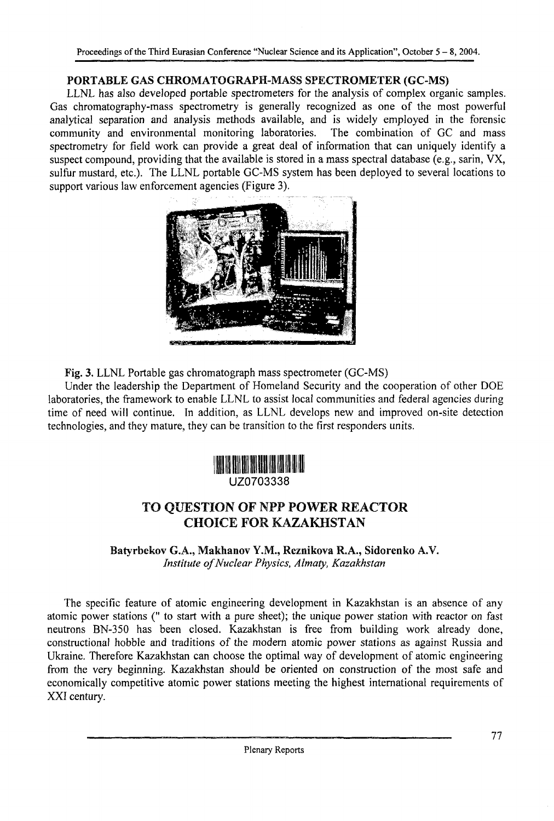### **PORTABLE GAS** CHROMATOGRAPH-MASS **SPECTROMETER (GC-MS)**

LLNL has also developed portable spectrometers for the analysis of complex organic samples. Gas chromatography-mass spectrometry is generally recognized as one of the most powerful analytical separation and analysis methods available, and is widely employed in the forensic community and environmental monitoring laboratories. spectrometry for field work can provide a great deal of information that can uniquely identify a suspect compound, providing that the available is stored in a mass spectral database (e.g., sarin, VX, sulfur mustard, etc.). The LLNL portable GC-MS system has been deployed to several locations to support various law enforcement agencies (Figure 3).



Fig. 3. LLNL Portable gas chromatograph mass spectrometer (GC-MS)

Under the leadership the Department of Homeland Security and the cooperation of other DOE laboratories, the framework to enable LLNL to assist local communities and federal agencies during time of need will continue. Tn addition, as LLNL develops new and improved on-site detection technologies, and they mature, they can be transition to the first responders units.



# TO QUESTION OF NPP POWER REACTOR CHOICE FOR KAZAKHSTAN

Batyrbekov G.A., Makhanov Y.M., Reznikova R.A., Sidorenko A.V. *Institute of Nuclear Physics, Almaty, Kazakhstan*

The specific feature of atomic engineering development in Kazakhstan is an absence of any atomic power stations (" to start with a pure sheet); the unique power station with reactor on fast neutrons BN-350 has been closed. Kazakhstan is free from building work already done, constructional hobble and traditions of the modern atomic power stations as against Russia and Ukraine. Therefore Kazakhstan can choose the optimal way of development of atomic engineering from the very beginning. Kazakhstan should be oriented on construction of the most safe and economically competitive atomic power stations meeting the highest international requirements of XXI century.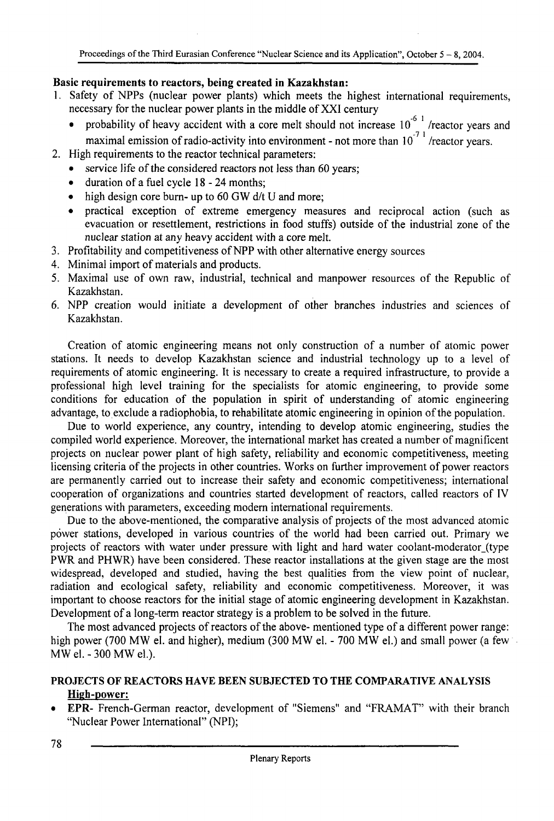#### **Basic requirements to reactors, being created in Kazakhstan:**

- 1. Safety of NPPs (nuclear power plants) which meets the highest international requirements, necessary for the nuclear power plants in the middle of XXI century
	- probability of heavy accident with a core melt should not increase  $10^{-6}$  /reactor years and maximal emission of radio-activity into environment - not more than  $10^{-7}$  /reactor years.
- 2. High requirements to the reactor technical parameters:
	- service life of the considered reactors not less than 60 years;
	- duration of a fuel cycle 18 24 months;
	- high design core burn- up to 60 GW d/t U and more;
	- practical exception of extreme emergency measures and reciprocal action (such as evacuation or resettlement, restrictions in food stuffs) outside of the industrial zone of the nuclear station at any heavy accident with a core melt.
- 3. Profitability and competitiveness of NPP with other alternative energy sources
- 4. Minimal import of materials and products.
- 5. Maximal use of own raw, industrial, technical and manpower resources of the Republic of Kazakhstan.
- 6. NPP creation would initiate a development of other branches industries and sciences of Kazakhstan.

Creation of atomic engineering means not only construction of a number of atomic power stations. It needs to develop Kazakhstan science and industrial technology up to a level of requirements of atomic engineering. It is necessary to create a required infrastructure, to provide a professional high level training for the specialists for atomic engineering, to provide some conditions for education of the population in spirit of understanding of atomic engineering advantage, to exclude a radiophobia, to rehabilitate atomic engineering in opinion of the population.

Due to world experience, any country, intending to develop atomic engineering, studies the compiled world experience. Moreover, the international market has created a number of magnificent projects on nuclear power plant of high safety, reliability and economic competitiveness, meeting licensing criteria of the projects in other countries. Works on further improvement of power reactors are permanently carried out to increase their safety and economic competitiveness; international cooperation of organizations and countries started development of reactors, called reactors of IV generations with parameters, exceeding modern international requirements.

Due to the above-mentioned, the comparative analysis of projects of the most advanced atomic power stations, developed in various countries of the world had been carried out. Primary we projects of reactors with water under pressure with light and hard water coolant-moderator (type PWR and PHWR) have been considered. These reactor installations at the given stage are the most widespread, developed and studied, having the best qualities from the view point of nuclear, radiation and ecological safety, reliability and economic competitiveness. Moreover, it was important to choose reactors for the initial stage of atomic engineering development in Kazakhstan. Development of a long-term reactor strategy is a problem to be solved in the future.

The most advanced projects of reactors of the above- mentioned type of a different power range: high power (700 MW el. and higher), medium (300 MW el. - 700 MW el.) and small power (a few MW el. - 300 MW el.).

#### **PROJECTS OF REACTORS HAVE BEEN SUBJECTED TO THE COMPARATIVE ANALYSIS High-power:**

• **EPR-** French-German reactor, development of "Siemens" and "FRAMAT" with their branch "Nuclear Power International" (NPI);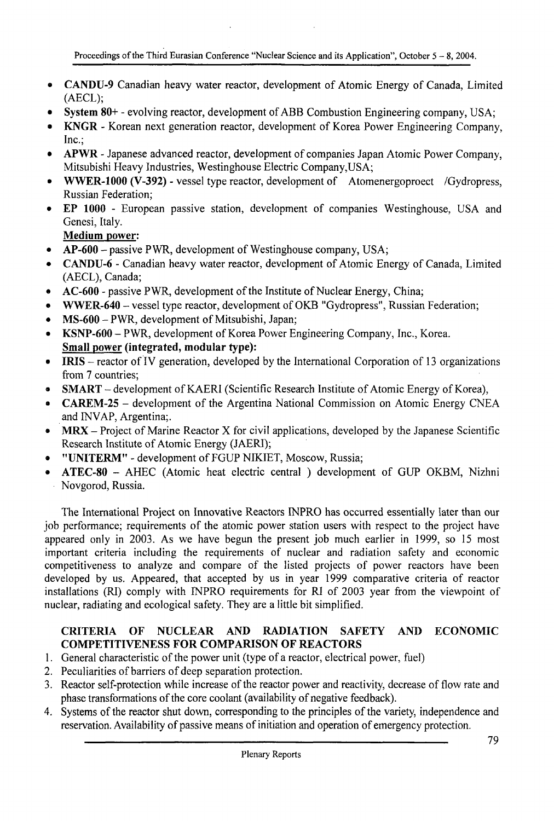- **CANDU-9** Canadian heavy water reactor, development of Atomic Energy of Canada, Limited (AECL);
- • **System 80+** evolving reactor, development of ABB Combustion Engineering company, USA;
- • **KNGR** Korean next generation reactor, development of Korea Power Engineering Company, Inc.;
- • **APWR** Japanese advanced reactor, development of companies Japan Atomic Power Company, Mitsubishi Heavy Industries, Westinghouse Electric Company,USA;
- • **WWER-1000 (V-392)** vessel type reactor, development of Atomenergoproect /Gydropress, Russian Federation;
- • **EP 1000** European passive station, development of companies Westinghouse, USA and Genesi, Italy.

**Medium power:**

- **AP-600** passive P WR, development of Westinghouse company, USA;
- • **CANDU-6** Canadian heavy water reactor, development of Atomic Energy of Canada, Limited (AECL), Canada;
- **AC-600** passive PWR, development of the Institute of Nuclear Energy, China;
- • **WWER-640** vessel type reactor, development of OKB "Gydropress", Russian Federation;
- • **MS-600** PWR, development of Mitsubishi, Japan;
- • **KSNP-600** PWR, development of Korea Power Engineering Company, Inc., Korea. **Small power (integrated, modular type):**
- **IRIS** reactor of IV generation, developed by the International Corporation of 13 organizations from 7 countries;
- • **SMART** development of KAERI (Scientific Research Institute of Atomic Energy of Korea),
- • **CAREM-25** development of the Argentina National Commission on Atomic Energy CNEA and INVAP, Argentina;.
- **MRX** Project of Marine Reactor X for civil applications, developed by the Japanese Scientific Research Institute of Atomic Energy (JAERI);
- • **"UNITERM"** development of FGUP NIKIET, Moscow, Russia;
- • **ATEC-80** AHEC (Atomic heat electric central ) development of GUP OKBM, Nizhni Novgorod, Russia.

The International Project on Innovative Reactors INPRO has occurred essentially later than our job performance; requirements of the atomic power station users with respect to the project have appeared only in 2003. As we have begun the present job much earlier in 1999, so 15 most important criteria including the requirements of nuclear and radiation safety and economic competitiveness to analyze and compare of the listed projects of power reactors have been developed by us. Appeared, that accepted by us in year 1999 comparative criteria of reactor installations (RI) comply with INPRO requirements for RI of 2003 year from the viewpoint of nuclear, radiating and ecological safety. They are a little bit simplified.

### **CRITERIA OF NUCLEAR AND RADIATION SAFETY AND ECONOMIC COMPETITIVENESS FOR COMPARISON OF REACTORS**

- 1. General characteristic of the power unit (type of a reactor, electrical power, fuel)
- 2. Peculiarities of barriers of deep separation protection.
- 3. Reactor self-protection while increase of the reactor power and reactivity, decrease of flow rate and phase transformations of the core coolant (availability of negative feedback).
- 4. Systems of the reactor shut down, corresponding to the principles of the variety, independence and reservation. Availability of passive means of initiation and operation of emergency protection.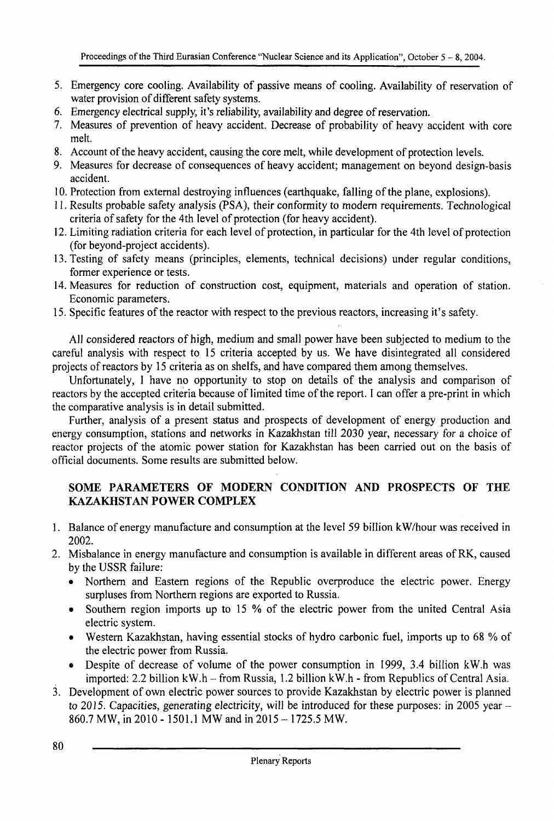- 5. Emergency core cooling. Availability of passive means of cooling. Availability of reservation of water provision of different safety systems.
- 6. Emergency electrical supply, it's reliability, availability and degree of reservation.
- 7. Measures of prevention of heavy accident. Decrease of probability of heavy accident with core melt.
- 8. Account of the heavy accident, causing the core melt, while development of protection levels.
- 9. Measures for decrease of consequences of heavy accident; management on beyond design-basis accident.
- 10. Protection from external destroying influences (earthquake, falling of the plane, explosions).
- 11. Results probable safety analysis (PSA), their conformity to modern requirements. Technological criteria of safety for the 4th level of protection (for heavy accident).
- 12. Limiting radiation criteria for each level of protection, in particular for the 4th level of protection (for beyond-project accidents).
- 13. Testing of safety means (principles, elements, technical decisions) under regular conditions, former experience or tests.
- 14. Measures for reduction of construction cost, equipment, materials and operation of station. Economic parameters.
- 15. Specific features of the reactor with respect to the previous reactors, increasing it's safety.

All considered reactors of high, medium and small power have been subjected to medium to the careful analysis with respect to 15 criteria accepted by us. We have disintegrated all considered projects of reactors by 15 criteria as on shelfs, and have compared them among themselves.

Unfortunately, I have no opportunity to stop on details of the analysis and comparison of reactors by the accepted criteria because of limited time of the report. I can offer a pre-print in which the comparative analysis is in detail submitted.

Further, analysis of a present status and prospects of development of energy production and energy consumption, stations and networks in Kazakhstan till 2030 year, necessary for a choice of reactor projects of the atomic power station for Kazakhstan has been carried out on the basis of official documents. Some results are submitted below.

## **SOME PARAMETERS OF MODERN CONDITION AND PROSPECTS OF THE KAZAKHSTAN POWER COMPLEX**

- 1. Balance of energy manufacture and consumption at the level 59 billion kW/hour was received in 2002.
- 2. Misbalance in energy manufacture and consumption is available in different areas of RK, caused by the USSR failure:
	- Northern and Eastern regions of the Republic overproduce the electric power. Energy surpluses from Northern regions are exported to Russia.
	- Southern region imports up to 15 % of the electric power from the united Central Asia electric system.
	- Western Kazakhstan, having essential stocks of hydro carbonic fuel, imports up to 68 % of the electric power from Russia.
	- Despite of decrease of volume of the power consumption in 1999, 3.4 billion kW.h was imported: 2.2 billion kW.h - from Russia, 1.2 billion kW.h - from Republics of Central Asia.
- 3. Development of own electric power sources to provide Kazakhstan by electric power is planned to 2015. Capacities, generating electricity, will be introduced for these purposes: in 2005 year  $-$ 860.7 MW, in 2010 -1501.1 MW and in 2015 - 1725.5 MW.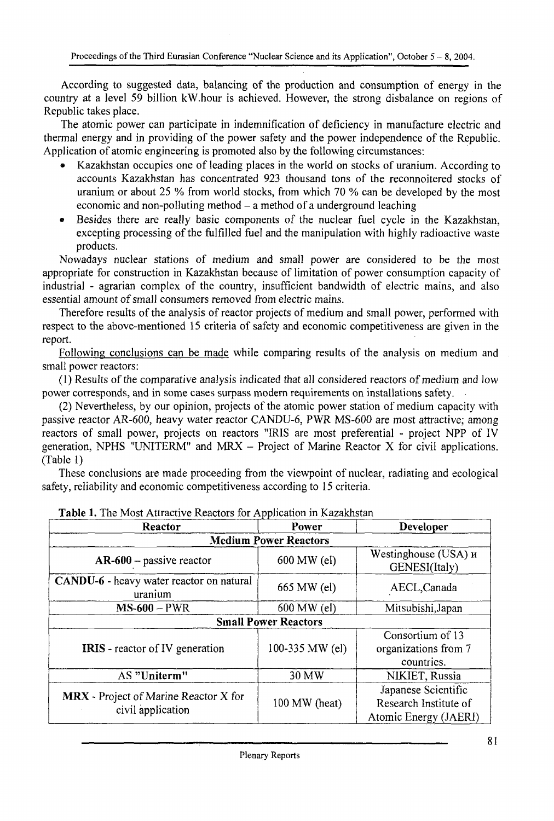According to suggested data, balancing of the production and consumption of energy in the country at a level 59 billion kW.hour is achieved. However, the strong disbalance on regions of Republic takes place.

The atomic power can participate in indemnification of deficiency in manufacture electric and thermal energy and in providing of the power safety and the power independence of the Republic. Application of atomic engineering is promoted also by the following circumstances:

- Kazakhstan occupies one of leading places in the world on stocks of uranium. According to accounts Kazakhstan has concentrated 923 thousand tons of the reconnoitered stocks of uranium or about 25 % from world stocks, from which 70 % can be developed by the most economic and non-polluting method  $-$  a method of a underground leaching
- Besides there are really basic components of the nuclear fuel cycle in the Kazakhstan, excepting processing of the fulfilled fuel and the manipulation with highly radioactive waste products.

Nowadays nuclear stations of medium and small power are considered to be the most appropriate for construction in Kazakhstan because of limitation of power consumption capacity of industrial - agrarian complex of the country, insufficient bandwidth of electric mains, and also essential amount of small consumers removed from electric mains.

Therefore results of the analysis of reactor projects of medium and small power, performed with respect to the above-mentioned 15 criteria of safety and economic competitiveness are given in the report.

Following conclusions can be made while comparing results of the analysis on medium and small power reactors:

(1) Results of the comparative analysis indicated that all considered reactors of medium and low power corresponds, and in some cases surpass modern requirements on installations safety.

(2) Nevertheless, by our opinion, projects of the atomic power station of medium capacity with passive reactor AR-600, heavy water reactor CANDU-6, PWR MS-600 are most attractive; among reactors of small power, projects on reactors "IRIS are most preferential - project NPP of IV generation, NPHS "UNITERM" and MRX - Project of Marine Reactor X for civil applications. (Table 1)

These conclusions are made proceeding from the viewpoint of nuclear, radiating and ecological safety, reliability and economic competitiveness according to 15 criteria.

| Reactor                                             | Power                        | <b>Developer</b>                      |
|-----------------------------------------------------|------------------------------|---------------------------------------|
|                                                     | <b>Medium Power Reactors</b> |                                       |
| $AR-600$ – passive reactor                          | 600 MW (el)                  | Westinghouse (USA) и<br>GENESI(Italy) |
| CANDU-6 - heavy water reactor on natural<br>uranium | 665 MW (el)                  | AECL, Canada                          |
| $MS-600 - PWR$                                      | 600 MW (el)                  | Mitsubishi, Japan                     |
|                                                     | <b>Small Power Reactors</b>  |                                       |
| <b>IRIS</b> - reactor of IV generation              | 100-335 MW (el)              | Consortium of 13                      |
|                                                     |                              | organizations from 7                  |
|                                                     |                              | countries.                            |
| AS "Uniterm"                                        | 30 MW                        | NIKIET, Russia                        |
| MRX - Project of Marine Reactor X for               | 100 MW (heat)                | Japanese Scientific                   |
|                                                     |                              | Research Institute of                 |
| civil application                                   |                              | Atomic Energy (JAERI)                 |

| Table 1. The Most Attractive Reactors for Application in Kazakhstan |
|---------------------------------------------------------------------|
|---------------------------------------------------------------------|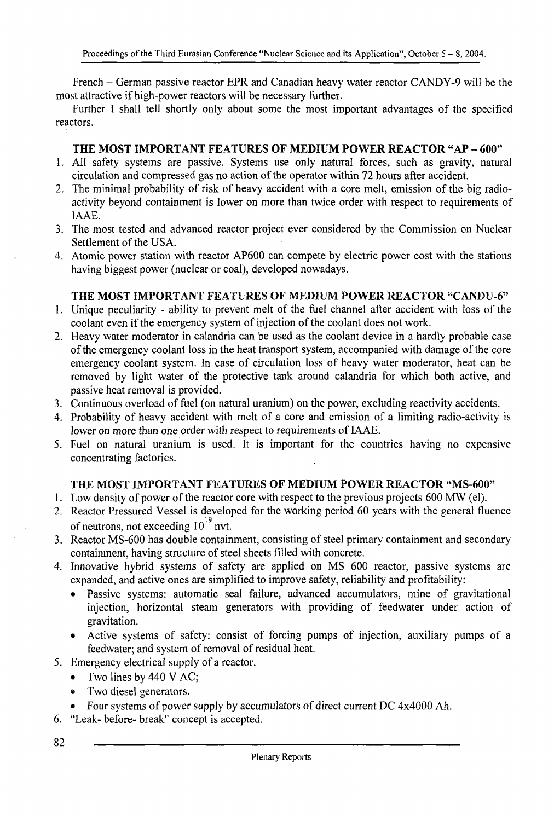French - German passive reactor EPR and Canadian heavy water reactor CANDY-9 will be the most attractive if high-power reactors will be necessary further.

Further I shall tell shortly only about some the most important advantages of the specified reactors.

### **THE MOST IMPORTANT FEATURES OF MEDIUM POWER REACTOR "AP** - **600"**

- **1.** All safety systems are passive. Systems use only natural forces, such as gravity, natural circulation and compressed gas no action of the operator within 72 hours after accident.
- 2. The minimal probability of risk of heavy accident with a core melt, emission of the big radioactivity beyond containment is lower on more than twice order with respect to requirements of IAAE.
- 3. The most tested and advanced reactor project ever considered by the Commission on Nuclear Settlement of the USA.
- 4. Atomic power station with reactor AP600 can compete by electric power cost with the stations having biggest power (nuclear or coal), developed nowadays.

### **THE MOST IMPORTANT FEATURES OF MEDIUM POWER REACTOR "CANDU-6"**

- **1.** Unique peculiarity ability to prevent melt of the fuel channel after accident with loss of the coolant even if the emergency system of injection of the coolant does not work.
- 2. Heavy water moderator in calandria can be used as the coolant device in a hardly probable case of the emergency coolant loss in the heat transport system, accompanied with damage of the core emergency coolant system. In case of circulation loss of heavy water moderator, heat can be removed by light water of the protective tank around calandria for which both active, and passive heat removal is provided.
- 3. Continuous overload of fuel (on natural uranium) on the power, excluding reactivity accidents.
- 4. Probability of heavy accident with melt of a core and emission of a limiting radio-activity is lower on more than one order with respect to requirements of IAAE.
- 5. Fuel on natural uranium is used. It is important for the countries having no expensive concentrating factories.

#### **THE MOST IMPORTANT** FEATURES **OF MEDIUM POWER REACTOR "MS-600"**

- **1**. Low density of power of the reactor core with respect to the previous projects 600 MW (el).
- 2. Reactor Pressured Vessel is developed for the working period 60 years with the general fluence of neutrons, not exceeding  $10^{19}$  nvt.
- of neutrons, not exceeding 10 not. 3. Reactor MS-600 has double containment, consisting or steel primary contaminent and secondary containment, having structure of steel sheets filled with concrete.
- 4. Innovative hybrid systems of safety are applied on MS 600 reactor, passive systems are expanded, and active ones are simplified to improve safety, reliability and profitability:
	- Passive systems: automatic seal failure, advanced accumulators, mine of gravitational injection, horizontal steam generators with providing of feedwater under action of gravitation.
	- Active systems of safety: consist of forcing pumps of injection, auxiliary pumps of a feedwater; and system of removal of residual heat.
- 5. Emergency electrical supply of a reactor.
	- Two lines by 440 V AC;
	- Two diesel generators.
	- Four systems of power supply by accumulators of direct current DC 4x4000 Ah.
- 6. "Leak- before- break" concept is accepted.